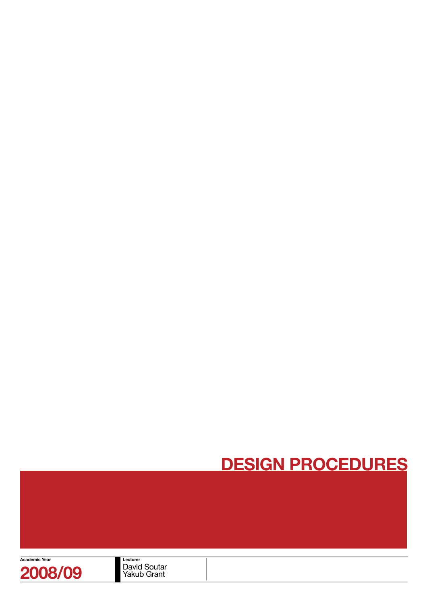

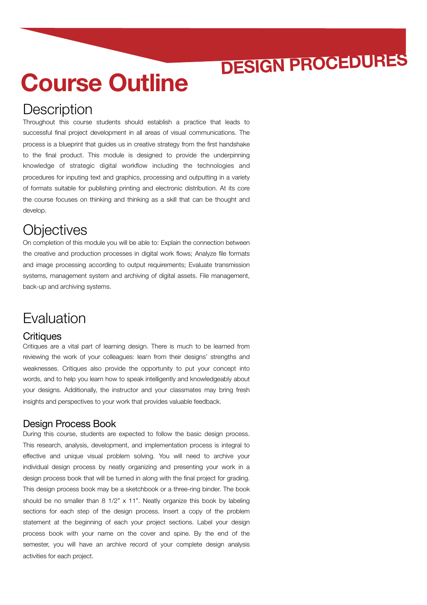# **Course Outline**

### **Description**

Throughout this course students should establish a practice that leads to successful final project development in all areas of visual communications. The process is a blueprint that guides us in creative strategy from the first handshake to the final product. This module is designed to provide the underpinning knowledge of strategic digital workflow including the technologies and procedures for inputing text and graphics, processing and outputting in a variety of formats suitable for publishing printing and electronic distribution. At its core the course focuses on thinking and thinking as a skill that can be thought and develop.

### **Objectives**

On completion of this module you will be able to: Explain the connection between the creative and production processes in digital work flows; Analyze file formats and image processing according to output requirements; Evaluate transmission systems, management system and archiving of digital assets. File management, back-up and archiving systems.

### **Evaluation**

### **Critiques**

Critiques are a vital part of learning design. There is much to be learned from reviewing the work of your colleagues: learn from their designs' strengths and weaknesses. Critiques also provide the opportunity to put your concept into words, and to help you learn how to speak intelligently and knowledgeably about your designs. Additionally, the instructor and your classmates may bring fresh insights and perspectives to your work that provides valuable feedback.

### Design Process Book

During this course, students are expected to follow the basic design process. This research, analysis, development, and implementation process is integral to effective and unique visual problem solving. You will need to archive your individual design process by neatly organizing and presenting your work in a design process book that will be turned in along with the final project for grading. This design process book may be a sketchbook or a three-ring binder. The book should be no smaller than 8 1/2" x 11". Neatly organize this book by labeling sections for each step of the design process. Insert a copy of the problem statement at the beginning of each your project sections. Label your design process book with your name on the cover and spine. By the end of the semester, you will have an archive record of your complete design analysis activities for each project.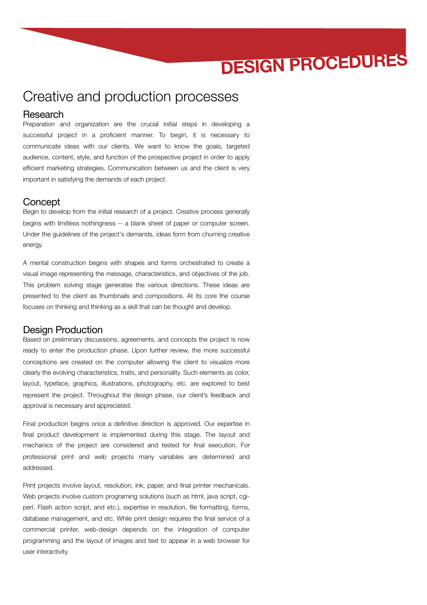### Creative and production processes

#### Research

Preparation and organization are the crucial initial steps in developing a successful project in a proficient manner. To begin, it is necessary to communicate ideas with our clients. We want to know the goals, targeted audience, content, style, and function of the prospective project in order to apply efficient marketing strategies. Communication between us and the client is very important in satisfying the demands of each project.

#### **Concept**

Begin to develop from the initial research of a project. Creative process generally begins with limitless nothingness -- a blank sheet of paper or computer screen. Under the guidelines of the project's demands, ideas form from churning creative energy.

A mental construction begins with shapes and forms orchestrated to create a visual image representing the message, characteristics, and objectives of the job. This problem solving stage generates the various directions. These ideas are presented to the client as thumbnails and compositions. At its core the course focuses on thinking and thinking as a skill that can be thought and develop.

### Design Production

Based on preliminary discussions, agreements, and concepts the project is now ready to enter the production phase. Upon further review, the more successful conceptions are created on the computer allowing the client to visualize more clearly the evolving characteristics, traits, and personality. Such elements as color, layout, typeface, graphics, illustrations, photography, etc. are explored to best represent the project. Throughout the design phase, our client's feedback and approval is necessary and appreciated.

Final production begins once a definitive direction is approved. Our expertise in final product development is implemented during this stage. The layout and mechanics of the project are considered and tested for final execution. For professional print and web projects many variables are determined and addressed.

Print projects involve layout, resolution, ink, paper, and final printer mechanicals. Web projects involve custom programing solutions (such as html, java script, cgiperl, Flash action script, and etc.), expertise in resolution, file formatting, forms, database management, and etc. While print design requires the final service of a commercial printer, web-design depends on the integration of computer programming and the layout of images and text to appear in a web browser for user interactivity.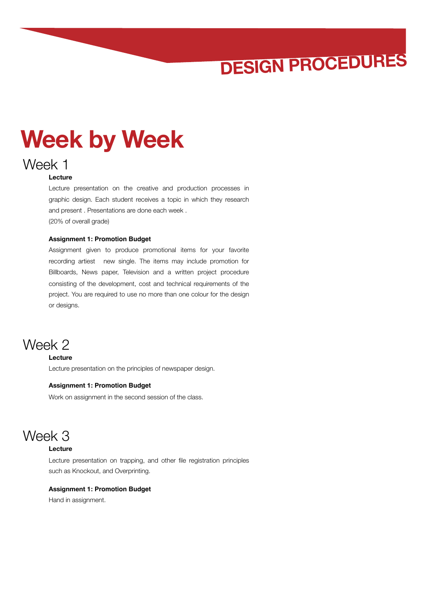# **Week by Week**

### Week 1

#### **Lecture**

Lecture presentation on the creative and production processes in graphic design. Each student receives a topic in which they research and present . Presentations are done each week . (20% of overall grade)

#### **Assignment 1: Promotion Budget**

Assignment given to produce promotional items for your favorite recording artiest new single. The items may include promotion for Billboards, News paper, Television and a written project procedure consisting of the development, cost and technical requirements of the project. You are required to use no more than one colour for the design or designs.

### Week 2 **Lecture**

Lecture presentation on the principles of newspaper design.

#### **Assignment 1: Promotion Budget**

Work on assignment in the second session of the class.

### Week 3

#### **Lecture**

Lecture presentation on trapping, and other file registration principles such as Knockout, and Overprinting.

#### **Assignment 1: Promotion Budget**

Hand in assignment.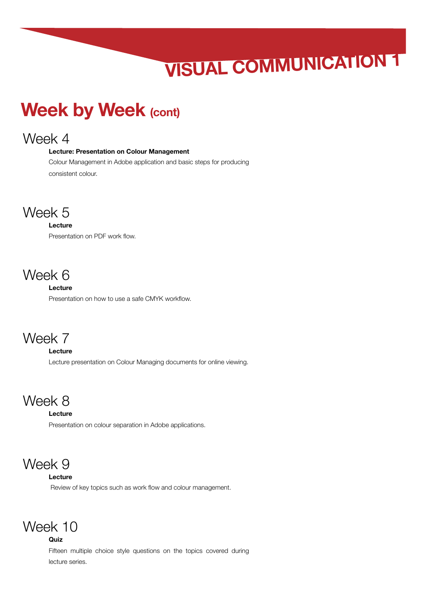# **VISUAL COMMUNICATION 1**

## **Week by Week (cont)**

### Week 4

#### **Lecture: Presentation on Colour Management**

Colour Management in Adobe application and basic steps for producing consistent colour.

### Week 5

#### **Lecture**

Presentation on PDF work flow.

### Week 6

#### **Lecture**

Presentation on how to use a safe CMYK workflow.

### Week 7

#### **Lecture**

Lecture presentation on Colour Managing documents for online viewing.

### Week 8

#### **Lecture**

Presentation on colour separation in Adobe applications.

### Week 9

#### **Lecture**

Review of key topics such as work flow and colour management.

### Week 10

#### **Quiz**

Fifteen multiple choice style questions on the topics covered during lecture series.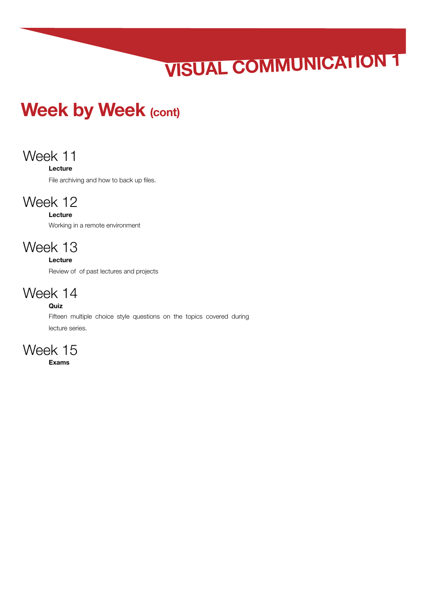# **VISUAL COMMUNICATION 1**

## **Week by Week (cont)**

### Week 11

#### **Lecture**

File archiving and how to back up files.

### Week 12

#### **Lecture** Working in a remote environment

### Week 13

#### **Lecture**

Review of of past lectures and projects

### Week 14

### **Quiz**

Fifteen multiple choice style questions on the topics covered during lecture series.



**Exams**